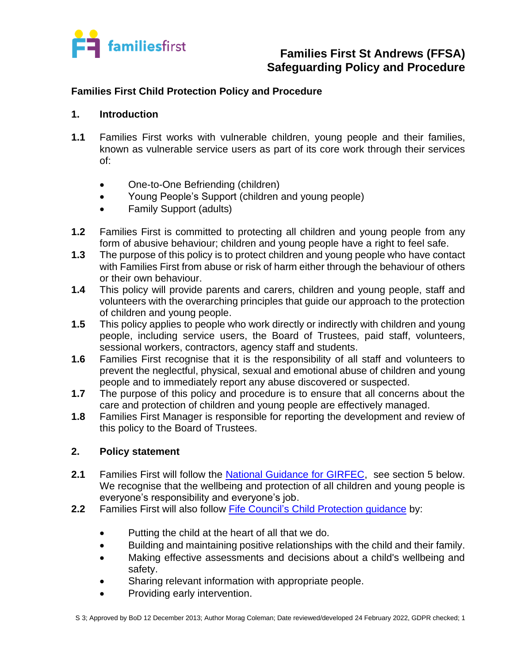

### **Families First Child Protection Policy and Procedure**

#### **1. Introduction**

- **1.1** Families First works with vulnerable children, young people and their families, known as vulnerable service users as part of its core work through their services of:
	- One-to-One Befriending (children)
	- Young People's Support (children and young people)
	- Family Support (adults)
- **1.2** Families First is committed to protecting all children and young people from any form of abusive behaviour; children and young people have a right to feel safe.
- **1.3** The purpose of this policy is to protect children and young people who have contact with Families First from abuse or risk of harm either through the behaviour of others or their own behaviour.
- **1.4** This policy will provide parents and carers, children and young people, staff and volunteers with the overarching principles that guide our approach to the protection of children and young people.
- **1.5** This policy applies to people who work directly or indirectly with children and young people, including service users, the Board of Trustees, paid staff, volunteers, sessional workers, contractors, agency staff and students.
- **1.6** Families First recognise that it is the responsibility of all staff and volunteers to prevent the neglectful, physical, sexual and emotional abuse of children and young people and to immediately report any abuse discovered or suspected.
- **1.7** The purpose of this policy and procedure is to ensure that all concerns about the care and protection of children and young people are effectively managed.
- **1.8** Families First Manager is responsible for reporting the development and review of this policy to the Board of Trustees.

### **2. Policy statement**

- **2.1** Families First will follow the [National Guidance for GIRFEC,](https://www.gov.scot/policies/girfec/) see section 5 below. We recognise that the wellbeing and protection of all children and young people is everyone's responsibility and everyone's job.
- **2.2** Families First will also follow [Fife Council's Child Protection guidance](https://www.fife.gov.uk/kb/docs/articles/health-and-social-care2/help-for-young-people/child-protection) by:
	- Putting the child at the heart of all that we do.
	- Building and maintaining positive relationships with the child and their family.
	- Making effective assessments and decisions about a child's wellbeing and safety.
	- Sharing relevant information with appropriate people.
	- Providing early intervention.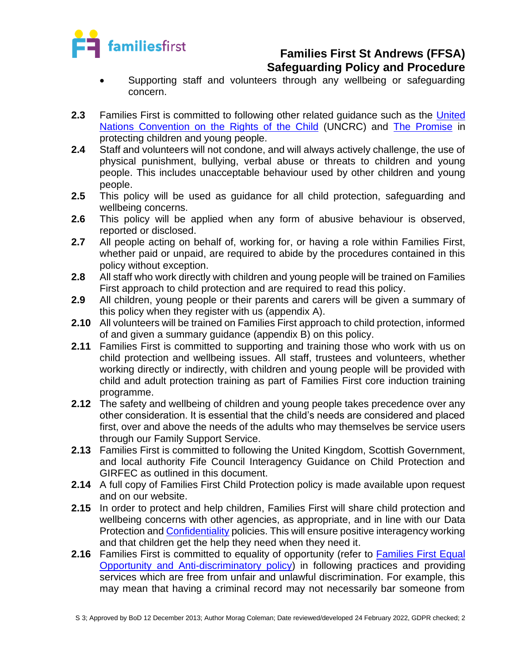

- Supporting staff and volunteers through any wellbeing or safeguarding concern.
- **2.3** Families First is committed to following other related guidance such as the [United](https://www.unicef.org.uk/what-we-do/un-convention-child-rights/)  [Nations Convention on the Rights of the Child](https://www.unicef.org.uk/what-we-do/un-convention-child-rights/) (UNCRC) and [The Promise](https://thepromise.scot/) in protecting children and young people.
- **2.4** Staff and volunteers will not condone, and will always actively challenge, the use of physical punishment, bullying, verbal abuse or threats to children and young people. This includes unacceptable behaviour used by other children and young people.
- **2.5** This policy will be used as guidance for all child protection, safeguarding and wellbeing concerns.
- **2.6** This policy will be applied when any form of abusive behaviour is observed, reported or disclosed.
- **2.7** All people acting on behalf of, working for, or having a role within Families First, whether paid or unpaid, are required to abide by the procedures contained in this policy without exception.
- **2.8** All staff who work directly with children and young people will be trained on Families First approach to child protection and are required to read this policy.
- **2.9** All children, young people or their parents and carers will be given a summary of this policy when they register with us (appendix A).
- **2.10** All volunteers will be trained on Families First approach to child protection, informed of and given a summary guidance (appendix B) on this policy.
- **2.11** Families First is committed to supporting and training those who work with us on child protection and wellbeing issues. All staff, trustees and volunteers, whether working directly or indirectly, with children and young people will be provided with child and adult protection training as part of Families First core induction training programme.
- **2.12** The safety and wellbeing of children and young people takes precedence over any other consideration. It is essential that the child's needs are considered and placed first, over and above the needs of the adults who may themselves be service users through our Family Support Service.
- **2.13** Families First is committed to following the United Kingdom, Scottish Government, and local authority Fife Council Interagency Guidance on Child Protection and GIRFEC as outlined in this document.
- **2.14** A full copy of Families First Child Protection policy is made available upon request and on our website.
- **2.15** In order to protect and help children, Families First will share child protection and wellbeing concerns with other agencies, as appropriate, and in line with our Data Protection and [Confidentiality](../S10%20Confidentiality%20Policy%2006.02.20%20MC%20JF.docx) policies. This will ensure positive interagency working and that children get the help they need when they need it.
- **2.16** Families First is committed to equality of opportunity (refer to Families First Equal [Opportunity and Anti-discriminatory policy\)](../../Organisational%20Management/OM%204%20Equal%20Opps%20%20Anti%20Discriminatory%20Policy%20MC%20AC%20JF%2002.04.19.docx) in following practices and providing services which are free from unfair and unlawful discrimination. For example, this may mean that having a criminal record may not necessarily bar someone from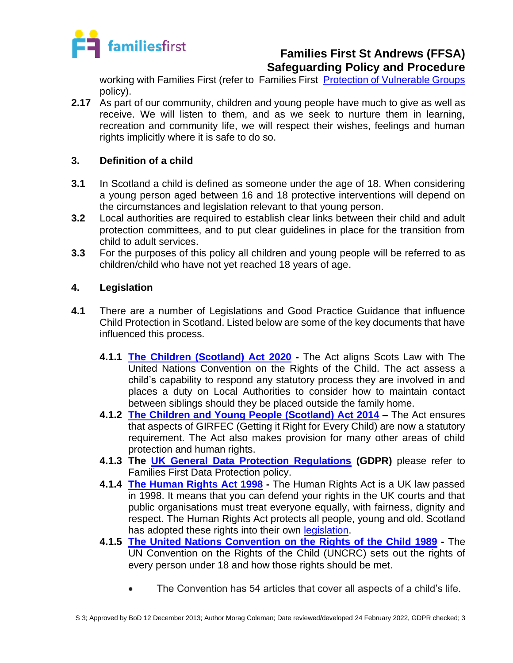

working with Families First (refer to Families First [Protection of Vulnerable Groups](../../HR/Recruitment%20and%20Employment/HR%206%20Protection%20of%20vulnerable%20groups%20P&P%2018.04.19%20MC%20JF%20AC.docx) policy).

**2.17** As part of our community, children and young people have much to give as well as receive. We will listen to them, and as we seek to nurture them in learning, recreation and community life, we will respect their wishes, feelings and human rights implicitly where it is safe to do so.

### **3. Definition of a child**

- **3.1** In Scotland a child is defined as someone under the age of 18. When considering a young person aged between 16 and 18 protective interventions will depend on the circumstances and legislation relevant to that young person.
- **3.2** Local authorities are required to establish clear links between their child and adult protection committees, and to put clear guidelines in place for the transition from child to adult services.
- **3.3** For the purposes of this policy all children and young people will be referred to as children/child who have not yet reached 18 years of age.

### **4. Legislation**

- **4.1** There are a number of Legislations and Good Practice Guidance that influence Child Protection in Scotland. Listed below are some of the key documents that have influenced this process.
	- **4.1.1 [The Children \(Scotland\) Act 2020](https://www.legislation.gov.uk/asp/2020/16/contents/enacted) -** The Act aligns Scots Law with The United Nations Convention on the Rights of the Child. The act assess a child's capability to respond any statutory process they are involved in and places a duty on Local Authorities to consider how to maintain contact between siblings should they be placed outside the family home.
	- **4.1.2 [The Children and Young People \(Scotland\) Act 2014](https://www.legislation.gov.uk/asp/2014/8/contents) –** The Act ensures that aspects of GIRFEC (Getting it Right for Every Child) are now a statutory requirement. The Act also makes provision for many other areas of child protection and human rights.
	- **4.1.3 The [UK General Data Protection Regulations](https://ico.org.uk/for-organisations/guide-to-data-protection/guide-to-the-general-data-protection-regulation-gdpr/) (GDPR)** please refer to Families First Data Protection policy.
	- **4.1.4 [The Human Rights](https://www.legislation.gov.uk/ukpga/1998/42/contents) Act 1998 -** The Human Rights Act is a UK law passed in 1998. It means that you can defend your rights in the UK courts and that public organisations must treat everyone equally, with fairness, dignity and respect. The Human Rights Act protects all people, young and old. Scotland has adopted these rights into their own [legislation.](https://www.gov.scot/policies/human-rights/#:~:text=In%20Scotland%2C%20civil%20and%20political,in%20the%20Scotland%20Act%201998.&text=These%20are%20mainly%20economic%2C%20social,and%20adequate%20standards%20of%20living.)
	- **4.1.5 [The United Nations Convention](https://www.unicef.org.uk/what-we-do/un-convention-child-rights/) on the Rights of the Child 1989 -** The UN Convention on the Rights of the Child (UNCRC) sets out the rights of every person under 18 and how those rights should be met.
		- The Convention has 54 articles that cover all aspects of a child's life.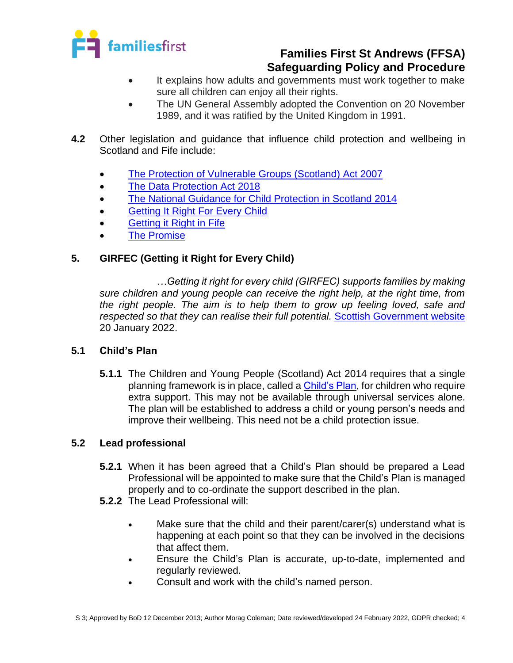

- It explains how adults and governments must work together to make sure all children can enjoy all their rights.
- The UN General Assembly adopted the Convention on 20 November 1989, and it was ratified by the United Kingdom in 1991.
- **4.2** Other legislation and guidance that influence child protection and wellbeing in Scotland and Fife include:
	- [The Protection of Vulnerable Groups \(Scotland\) Act 2007](https://www.mygov.scot/pvg-scheme/)
	- [The Data Protection Act 2018](https://www.legislation.gov.uk/ukpga/2018/12/contents)
	- [The National Guidance for Child Protection in Scotland 2014](https://www2.gov.scot/Resource/0045/00450733.pdf)
	- [Getting It Right For Every Child](https://www.gov.scot/policies/girfec/)
	- **[Getting it Right in Fife](https://girfec.fife.scot/)**
	- [The Promise](https://thepromise.scot/)

### **5. GIRFEC (Getting it Right for Every Child)**

*…Getting it right for every child (GIRFEC) supports families by making sure children and young people can receive the right help, at the right time, from the right people. The aim is to help them to grow up feeling loved, safe and respected so that they can realise their full potential. [Scottish Government website](https://www.gov.scot/policies/girfec/)* 20 January 2022.

### **5.1 Child's Plan**

**5.1.1** The Children and Young People (Scotland) Act 2014 requires that a single planning framework is in place, called a [Child's Plan,](https://girfec.fife.scot/__data/assets/pdf_file/0027/187704/Childs-Plan-Guidance-MASTER-310817.pdf) for children who require extra support. This may not be available through universal services alone. The plan will be established to address a child or young person's needs and improve their wellbeing. This need not be a child protection issue.

### **5.2 Lead professional**

- **5.2.1** When it has been agreed that a Child's Plan should be prepared a Lead Professional will be appointed to make sure that the Child's Plan is managed properly and to co-ordinate the support described in the plan.
- **5.2.2** The Lead Professional will:
	- Make sure that the child and their parent/carer(s) understand what is happening at each point so that they can be involved in the decisions that affect them.
	- Ensure the Child's Plan is accurate, up-to-date, implemented and regularly reviewed.
	- Consult and work with the child's named person.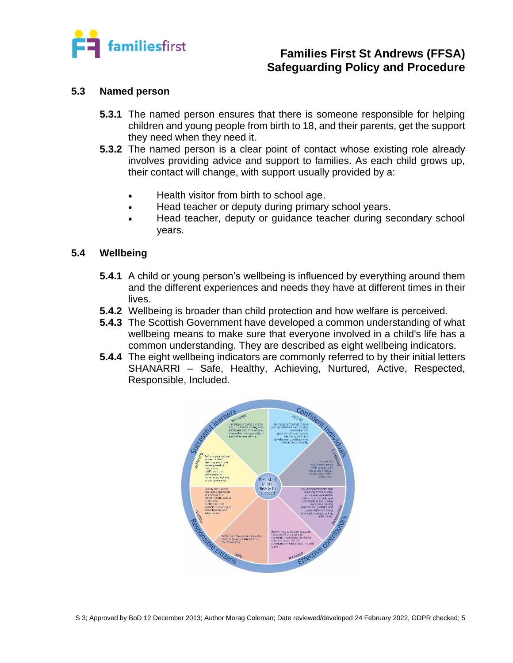

#### **5.3 Named person**

- **5.3.1** The named person ensures that there is someone responsible for helping children and young people from birth to 18, and their parents, get the support they need when they need it.
- **5.3.2** The named person is a clear point of contact whose existing role already involves providing advice and support to families. As each child grows up, their contact will change, with support usually provided by a:
	- Health visitor from birth to school age.
	- Head teacher or deputy during primary school years.
	- Head teacher, deputy or guidance teacher during secondary school years.

#### **5.4 Wellbeing**

- **5.4.1** A child or young person's wellbeing is influenced by everything around them and the different experiences and needs they have at different times in their lives.
- **5.4.2** Wellbeing is broader than child protection and how welfare is perceived.
- **5.4.3** The Scottish Government have developed a common understanding of what wellbeing means to make sure that everyone involved in a child's life has a common understanding. They are described as eight wellbeing indicators.
- **5.4.4** The eight wellbeing indicators are commonly referred to by their initial letters SHANARRI – Safe, Healthy, Achieving, Nurtured, Active, Respected, Responsible, Included.

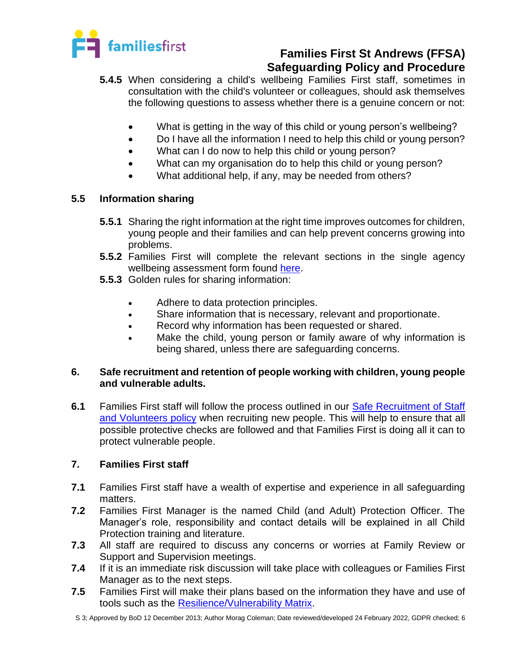

- **5.4.5** When considering a child's wellbeing Families First staff, sometimes in consultation with the child's volunteer or colleagues, should ask themselves the following questions to assess whether there is a genuine concern or not:
	- What is getting in the way of this child or young person's wellbeing?
	- Do I have all the information I need to help this child or young person?
	- What can I do now to help this child or young person?
	- What can my organisation do to help this child or young person?
	- What additional help, if any, may be needed from others?

### **5.5 Information sharing**

- **5.5.1** Sharing the right information at the right time improves outcomes for children, young people and their families and can help prevent concerns growing into problems.
- **5.5.2** Families First will complete the relevant sections in the single agency wellbeing assessment form found [here.](../../../Blank%20docs,%20templates/Safeguarding/S%203%20Child%20Protection/1%20%20Blank%20Single%20Agency%20Wellbeing%20Assessment%20form%2005.09.19.docx)
- **5.5.3** Golden rules for sharing information:
	- Adhere to data protection principles.
	- Share information that is necessary, relevant and proportionate.
	- Record why information has been requested or shared.
	- Make the child, young person or family aware of why information is being shared, unless there are safeguarding concerns.

### **6. Safe recruitment and retention of people working with children, young people and vulnerable adults.**

**6.1** Families First staff will follow the process outlined in our [Safe Recruitment of Staff](../../HR/Recruitment%20and%20Employment/HR%201%20Safe%20Recruitment%20of%20staff%20and%20volunteers%20statement%2010.04.19%20MC%20JF%20AC.docx)  [and Volunteers policy](../../HR/Recruitment%20and%20Employment/HR%201%20Safe%20Recruitment%20of%20staff%20and%20volunteers%20statement%2010.04.19%20MC%20JF%20AC.docx) when recruiting new people. This will help to ensure that all possible protective checks are followed and that Families First is doing all it can to protect vulnerable people.

### **7. Families First staff**

- **7.1** Families First staff have a wealth of expertise and experience in all safeguarding matters.
- **7.2** Families First Manager is the named Child (and Adult) Protection Officer. The Manager's role, responsibility and contact details will be explained in all Child Protection training and literature.
- **7.3** All staff are required to discuss any concerns or worries at Family Review or Support and Supervision meetings.
- **7.4** If it is an immediate risk discussion will take place with colleagues or Families First Manager as to the next steps.
- **7.5** Families First will make their plans based on the information they have and use of tools such as the [Resilience/Vulnerability Matrix.](https://www.gov.scot/binaries/content/documents/govscot/publications/factsheet/2017/08/shanarri/documents/resilience-matrix/6971e264-65ce-4580-b224-b82770baf905/6971e264-65ce-4580-b224-b82770baf905/govscot%3Adocument/SHANARRI%2B-%2BVulnerability%2Bmatrix.pdf)

S 3; Approved by BoD 12 December 2013; Author Morag Coleman; Date reviewed/developed 24 February 2022, GDPR checked; 6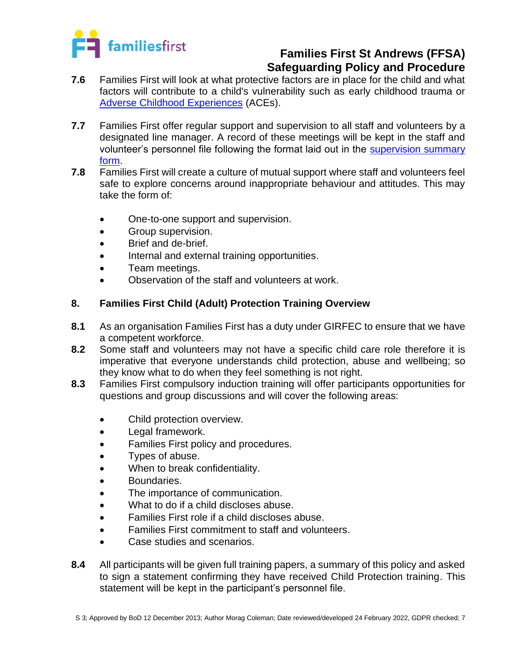

- **7.6** Families First will look at what protective factors are in place for the child and what factors will contribute to a child's vulnerability such as early childhood trauma or [Adverse Childhood Experiences](https://www.gov.scot/publications/adverse-childhood-experiences/) (ACEs).
- **7.7** Families First offer regular support and supervision to all staff and volunteers by a designated line manager. A record of these meetings will be kept in the staff and volunteer's personnel file following the format laid out in the [supervision summary](../../../Blank%20docs,%20templates/HR%20forms/Blank%20S&S%20form%2009.07.21%20MC.doc)  [form.](../../../Blank%20docs,%20templates/HR%20forms/Blank%20S&S%20form%2009.07.21%20MC.doc)
- **7.8** Families First will create a culture of mutual support where staff and volunteers feel safe to explore concerns around inappropriate behaviour and attitudes. This may take the form of:
	- One-to-one support and supervision.
	- Group supervision.
	- Brief and de-brief.
	- Internal and external training opportunities.
	- Team meetings.
	- Observation of the staff and volunteers at work.

### **8. Families First Child (Adult) Protection Training Overview**

- **8.1** As an organisation Families First has a duty under GIRFEC to ensure that we have a competent workforce.
- **8.2** Some staff and volunteers may not have a specific child care role therefore it is imperative that everyone understands child protection, abuse and wellbeing; so they know what to do when they feel something is not right.
- **8.3** Families First compulsory induction training will offer participants opportunities for questions and group discussions and will cover the following areas:
	- Child protection overview.
	- Legal framework.
	- Families First policy and procedures.
	- Types of abuse.
	- When to break confidentiality.
	- Boundaries.
	- The importance of communication.
	- What to do if a child discloses abuse.
	- Families First role if a child discloses abuse.
	- Families First commitment to staff and volunteers.
	- Case studies and scenarios.
- **8.4** All participants will be given full training papers, a summary of this policy and asked to sign a statement confirming they have received Child Protection training. This statement will be kept in the participant's personnel file.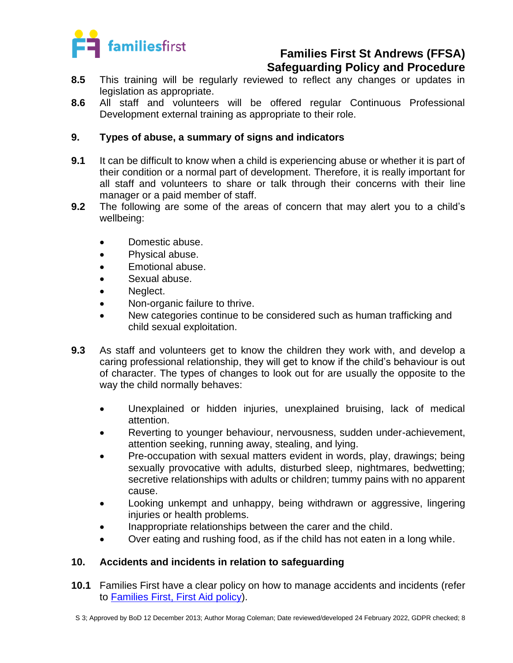

- **8.5** This training will be regularly reviewed to reflect any changes or updates in legislation as appropriate.
- **8.6** All staff and volunteers will be offered regular Continuous Professional Development external training as appropriate to their role.

### **9. Types of abuse, a summary of signs and indicators**

- **9.1** It can be difficult to know when a child is experiencing abuse or whether it is part of their condition or a normal part of development. Therefore, it is really important for all staff and volunteers to share or talk through their concerns with their line manager or a paid member of staff.
- **9.2** The following are some of the areas of concern that may alert you to a child's wellbeing:
	- Domestic abuse.
	- Physical abuse.
	- Emotional abuse.
	- Sexual abuse.
	- Neglect.
	- Non-organic failure to thrive.
	- New categories continue to be considered such as human trafficking and child sexual exploitation.
- **9.3** As staff and volunteers get to know the children they work with, and develop a caring professional relationship, they will get to know if the child's behaviour is out of character. The types of changes to look out for are usually the opposite to the way the child normally behaves:
	- Unexplained or hidden injuries, unexplained bruising, lack of medical attention.
	- Reverting to younger behaviour, nervousness, sudden under-achievement, attention seeking, running away, stealing, and lying.
	- Pre-occupation with sexual matters evident in words, play, drawings; being sexually provocative with adults, disturbed sleep, nightmares, bedwetting; secretive relationships with adults or children; tummy pains with no apparent cause.
	- Looking unkempt and unhappy, being withdrawn or aggressive, lingering injuries or health problems.
	- Inappropriate relationships between the carer and the child.
	- Over eating and rushing food, as if the child has not eaten in a long while.

### **10. Accidents and incidents in relation to safeguarding**

**10.1** Families First have a clear policy on how to manage accidents and incidents (refer to Families First, [First Aid policy\)](../../Health%20and%20Safety/HS%2010%20First%20aid,%20accident,incident%20Policy%20and%20Procedure%2008.07.20%20MC%20SM.docx).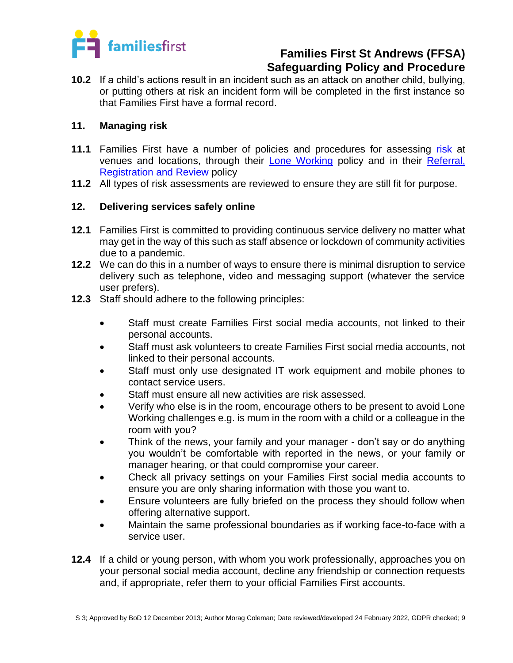

**10.2** If a child's actions result in an incident such as an attack on another child, bullying, or putting others at risk an incident form will be completed in the first instance so that Families First have a formal record.

#### **11. Managing risk**

- **11.1** Families First have a number of policies and procedures for assessing [risk](../../../Blank%20docs,%20templates/H&S%20forms/HS%209%20Risk%20Assessment/App%20A%20-%20Blank%20Risk%20Assessment%20Form%2008.07.20%20MC.docx) at venues and locations, through their [Lone Working](../S7%20Lone%20Working%20Policy%20%2006.02.20%20MC%20JF.docx) policy and in their [Referral,](../../Operational/Referral%20registration%20and%20review%20policy%2020.07.21%20MC%20SM.docx)  [Registration](../../Operational/Referral%20registration%20and%20review%20policy%2020.07.21%20MC%20SM.docx) and Review policy
- **11.2** All types of risk assessments are reviewed to ensure they are still fit for purpose.

#### **12. Delivering services safely online**

- **12.1** Families First is committed to providing continuous service delivery no matter what may get in the way of this such as staff absence or lockdown of community activities due to a pandemic.
- **12.2** We can do this in a number of ways to ensure there is minimal disruption to service delivery such as telephone, video and messaging support (whatever the service user prefers).
- **12.3** Staff should adhere to the following principles:
	- Staff must create Families First social media accounts, not linked to their personal accounts.
	- Staff must ask volunteers to create Families First social media accounts, not linked to their personal accounts.
	- Staff must only use designated IT work equipment and mobile phones to contact service users.
	- Staff must ensure all new activities are risk assessed.
	- Verify who else is in the room, encourage others to be present to avoid Lone Working challenges e.g. is mum in the room with a child or a colleague in the room with you?
	- Think of the news, your family and your manager don't say or do anything you wouldn't be comfortable with reported in the news, or your family or manager hearing, or that could compromise your career.
	- Check all privacy settings on your Families First social media accounts to ensure you are only sharing information with those you want to.
	- Ensure volunteers are fully briefed on the process they should follow when offering alternative support.
	- Maintain the same professional boundaries as if working face-to-face with a service user.
- **12.4** If a child or young person, with whom you work professionally, approaches you on your personal social media account, decline any friendship or connection requests and, if appropriate, refer them to your official Families First accounts.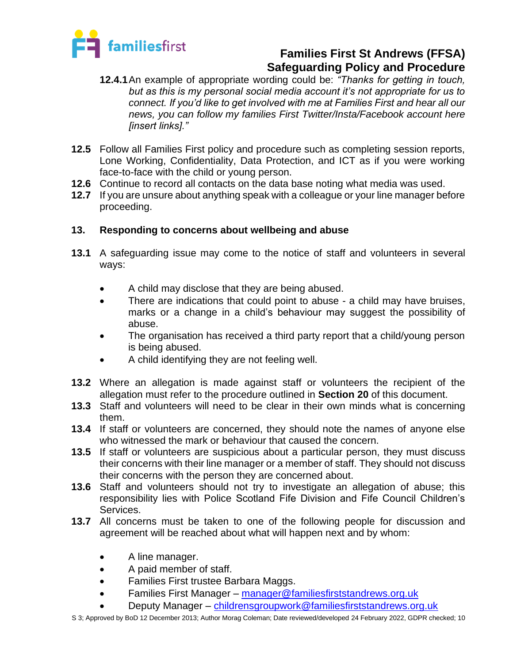

- **12.4.1**An example of appropriate wording could be: *"Thanks for getting in touch, but as this is my personal social media account it's not appropriate for us to connect. If you'd like to get involved with me at Families First and hear all our news, you can follow my families First Twitter/Insta/Facebook account here [insert links]."*
- **12.5** Follow all Families First policy and procedure such as completing session reports, Lone Working, Confidentiality, Data Protection, and ICT as if you were working face-to-face with the child or young person.
- **12.6** Continue to record all contacts on the data base noting what media was used.
- **12.7** If you are unsure about anything speak with a colleague or your line manager before proceeding.

### **13. Responding to concerns about wellbeing and abuse**

- **13.1** A safeguarding issue may come to the notice of staff and volunteers in several ways:
	- A child may disclose that they are being abused.
	- There are indications that could point to abuse a child may have bruises, marks or a change in a child's behaviour may suggest the possibility of abuse.
	- The organisation has received a third party report that a child/young person is being abused.
	- A child identifying they are not feeling well.
- **13.2** Where an allegation is made against staff or volunteers the recipient of the allegation must refer to the procedure outlined in **Section 20** of this document.
- **13.3** Staff and volunteers will need to be clear in their own minds what is concerning them.
- **13.4** If staff or volunteers are concerned, they should note the names of anyone else who witnessed the mark or behaviour that caused the concern.
- **13.5** If staff or volunteers are suspicious about a particular person, they must discuss their concerns with their line manager or a member of staff. They should not discuss their concerns with the person they are concerned about.
- **13.6** Staff and volunteers should not try to investigate an allegation of abuse; this responsibility lies with Police Scotland Fife Division and Fife Council Children's Services.
- **13.7** All concerns must be taken to one of the following people for discussion and agreement will be reached about what will happen next and by whom:
	- A line manager.
	- A paid member of staff.
	- Families First trustee Barbara Maggs.
	- Families First Manager [manager@familiesfirststandrews.org.uk](mailto:manager@familiesfirststandrews.org.uk)
		- Deputy Manager [childrensgroupwork@familiesfirststandrews.org.uk](mailto:childrensgroupwork@familiesfirststandrews.org.uk)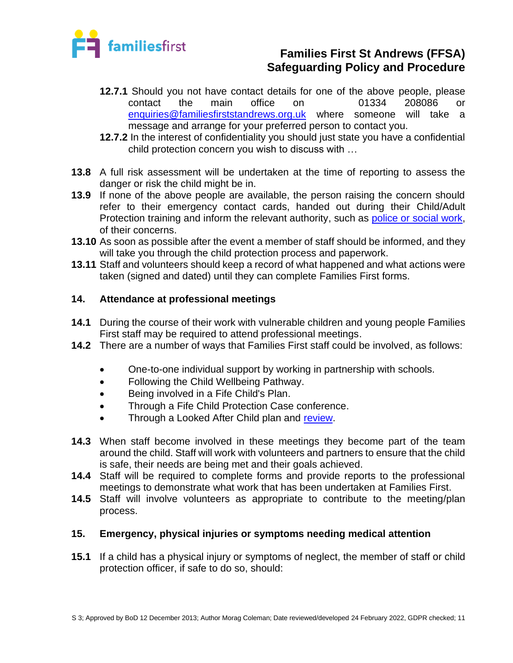

- **12.7.1** Should you not have contact details for one of the above people, please contact the main office on 01334 208086 or [enquiries@familiesfirststandrews.org.uk](mailto:enquiries@familiesfirststandrews.org.uk) where someone will take a message and arrange for your preferred person to contact you.
- **12.7.2** In the interest of confidentiality you should just state you have a confidential child protection concern you wish to discuss with …
- **13.8** A full risk assessment will be undertaken at the time of reporting to assess the danger or risk the child might be in.
- **13.9** If none of the above people are available, the person raising the concern should refer to their emergency contact cards, handed out during their Child/Adult Protection training and inform the relevant authority, such as [police or social work,](https://www.fife.gov.uk/kb/docs/articles/health-and-social-care2/help-for-young-people/child-protection) of their concerns.
- **13.10** As soon as possible after the event a member of staff should be informed, and they will take you through the child protection process and paperwork.
- **13.11** Staff and volunteers should keep a record of what happened and what actions were taken (signed and dated) until they can complete Families First forms.

### **14. Attendance at professional meetings**

- **14.1** During the course of their work with vulnerable children and young people Families First staff may be required to attend professional meetings.
- **14.2** There are a number of ways that Families First staff could be involved, as follows:
	- One-to-one individual support by working in partnership with schools.
	- Following the Child Wellbeing Pathway.
	- Being involved in a Fife Child's Plan.
	- Through a Fife Child Protection Case conference.
	- Through a Looked After Child plan and [review.](../../../Blank%20docs,%20templates/Safeguarding/S%203%20Child%20Protection/Form%20LAC%208%20-%20Professional.doc)
- **14.3** When staff become involved in these meetings they become part of the team around the child. Staff will work with volunteers and partners to ensure that the child is safe, their needs are being met and their goals achieved.
- **14.4** Staff will be required to complete forms and provide reports to the professional meetings to demonstrate what work that has been undertaken at Families First.
- **14.5** Staff will involve volunteers as appropriate to contribute to the meeting/plan process.

### **15. Emergency, physical injuries or symptoms needing medical attention**

**15.1** If a child has a physical injury or symptoms of neglect, the member of staff or child protection officer, if safe to do so, should: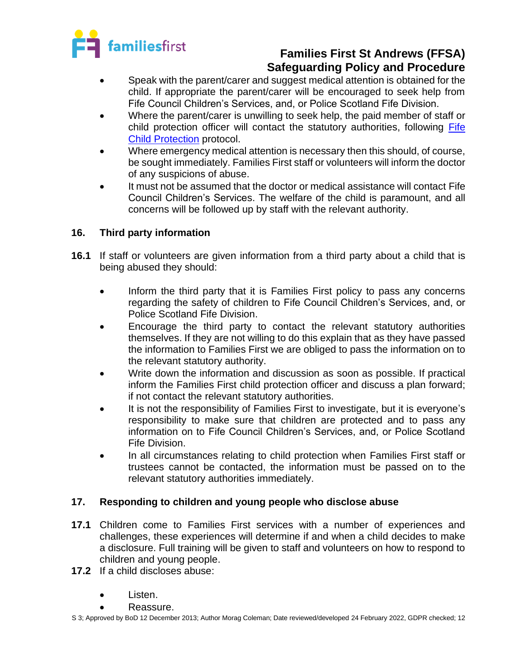

- Speak with the parent/carer and suggest medical attention is obtained for the child. If appropriate the parent/carer will be encouraged to seek help from Fife Council Children's Services, and, or Police Scotland Fife Division.
- Where the parent/carer is unwilling to seek help, the paid member of staff or child protection officer will contact the statutory authorities, following [Fife](https://www.fife.gov.uk/kb/docs/articles/health-and-social-care2/help-for-young-people/child-protection)  [Child Protection](https://www.fife.gov.uk/kb/docs/articles/health-and-social-care2/help-for-young-people/child-protection) protocol.
- Where emergency medical attention is necessary then this should, of course, be sought immediately. Families First staff or volunteers will inform the doctor of any suspicions of abuse.
- It must not be assumed that the doctor or medical assistance will contact Fife Council Children's Services. The welfare of the child is paramount, and all concerns will be followed up by staff with the relevant authority.

### **16. Third party information**

- **16.1** If staff or volunteers are given information from a third party about a child that is being abused they should:
	- Inform the third party that it is Families First policy to pass any concerns regarding the safety of children to Fife Council Children's Services, and, or Police Scotland Fife Division.
	- Encourage the third party to contact the relevant statutory authorities themselves. If they are not willing to do this explain that as they have passed the information to Families First we are obliged to pass the information on to the relevant statutory authority.
	- Write down the information and discussion as soon as possible. If practical inform the Families First child protection officer and discuss a plan forward; if not contact the relevant statutory authorities.
	- It is not the responsibility of Families First to investigate, but it is everyone's responsibility to make sure that children are protected and to pass any information on to Fife Council Children's Services, and, or Police Scotland Fife Division.
	- In all circumstances relating to child protection when Families First staff or trustees cannot be contacted, the information must be passed on to the relevant statutory authorities immediately.

### **17. Responding to children and young people who disclose abuse**

- **17.1** Children come to Families First services with a number of experiences and challenges, these experiences will determine if and when a child decides to make a disclosure. Full training will be given to staff and volunteers on how to respond to children and young people.
- **17.2** If a child discloses abuse:
	- Listen.
	- Reassure.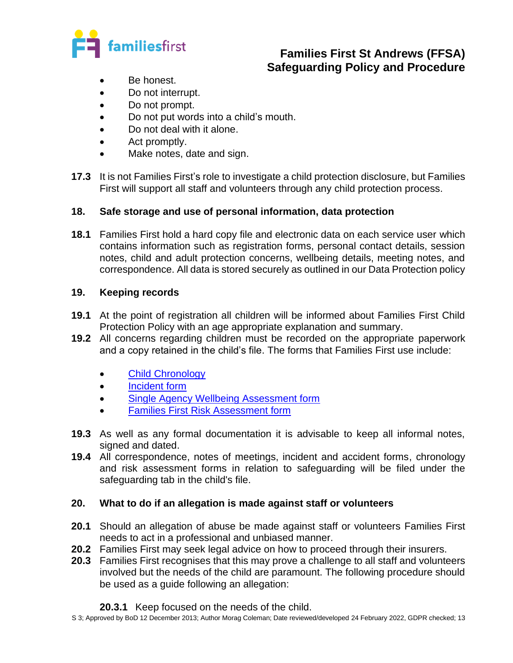

- Be honest.
- Do not interrupt.
- Do not prompt.
- Do not put words into a child's mouth.
- Do not deal with it alone.
- Act promptly.
- Make notes, date and sign.
- **17.3** It is not Families First's role to investigate a child protection disclosure, but Families First will support all staff and volunteers through any child protection process.

### **18. Safe storage and use of personal information, data protection**

**18.1** Families First hold a hard copy file and electronic data on each service user which contains information such as registration forms, personal contact details, session notes, child and adult protection concerns, wellbeing details, meeting notes, and correspondence. All data is stored securely as outlined in our Data Protection policy

### **19. Keeping records**

- **19.1** At the point of registration all children will be informed about Families First Child Protection Policy with an age appropriate explanation and summary.
- **19.2** All concerns regarding children must be recorded on the appropriate paperwork and a copy retained in the child's file. The forms that Families First use include:
	- [Child Chronology](../../../Blank%20docs,%20templates/Safeguarding/S%203%20Child%20Protection/4%20Blank%20Chronology%20form%2009.03.21.docx)
	- [Incident form](../../../Blank%20docs,%20templates/H&S%20forms/HS%2010%20First%20Aid,%20Accident,%20Incident/App%20B%20-%20Accident,%20Illness,%20Incident%20Form%2009.07.20.docx)
	- [Single Agency Wellbeing Assessment form](../../../Blank%20docs,%20templates/Safeguarding/S%203%20Child%20Protection/1%20%20Blank%20Single%20Agency%20Wellbeing%20Assessment%20form%2005.09.19.docx)
	- [Families First Risk Assessment form](../../../Blank%20docs,%20templates/Services%20forms/Referral,%20Reg%20&%20Review,%20Ending%20Forms/3%20Risk%20Assessment%2020.07.21%20MC%20SM.docx)
- **19.3** As well as any formal documentation it is advisable to keep all informal notes, signed and dated.
- **19.4** All correspondence, notes of meetings, incident and accident forms, chronology and risk assessment forms in relation to safeguarding will be filed under the safeguarding tab in the child's file.

### **20. What to do if an allegation is made against staff or volunteers**

- **20.1** Should an allegation of abuse be made against staff or volunteers Families First needs to act in a professional and unbiased manner.
- **20.2** Families First may seek legal advice on how to proceed through their insurers.
- **20.3** Families First recognises that this may prove a challenge to all staff and volunteers involved but the needs of the child are paramount. The following procedure should be used as a guide following an allegation:

### **20.3.1** Keep focused on the needs of the child.

S 3; Approved by BoD 12 December 2013; Author Morag Coleman; Date reviewed/developed 24 February 2022, GDPR checked; 13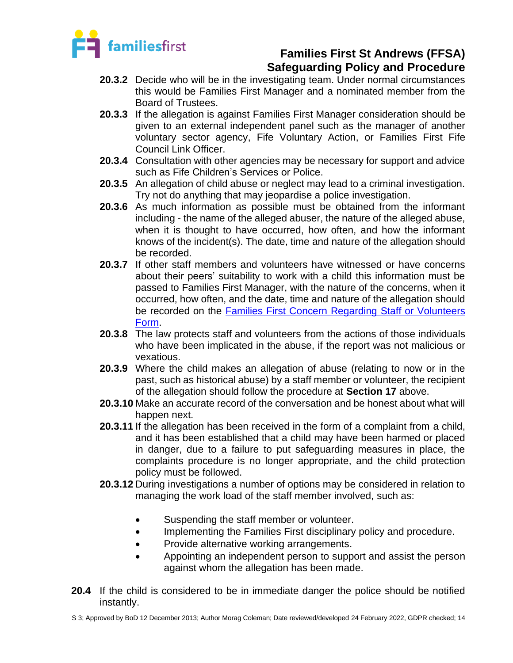

- **20.3.2** Decide who will be in the investigating team. Under normal circumstances this would be Families First Manager and a nominated member from the Board of Trustees.
- **20.3.3** If the allegation is against Families First Manager consideration should be given to an external independent panel such as the manager of another voluntary sector agency, Fife Voluntary Action, or Families First Fife Council Link Officer.
- **20.3.4** Consultation with other agencies may be necessary for support and advice such as Fife Children's Services or Police.
- **20.3.5** An allegation of child abuse or neglect may lead to a criminal investigation. Try not do anything that may jeopardise a police investigation.
- **20.3.6** As much information as possible must be obtained from the informant including - the name of the alleged abuser, the nature of the alleged abuse, when it is thought to have occurred, how often, and how the informant knows of the incident(s). The date, time and nature of the allegation should be recorded.
- **20.3.7** If other staff members and volunteers have witnessed or have concerns about their peers' suitability to work with a child this information must be passed to Families First Manager, with the nature of the concerns, when it occurred, how often, and the date, time and nature of the allegation should be recorded on the Families First [Concern Regarding Staff or](../../../Blank%20docs,%20templates/Safeguarding/S%203%20Child%20Protection/3%20Concern%20re%20staff%20-%20volunteer%20form%2002.02.22%20MC.docx) Volunteers [Form.](../../../Blank%20docs,%20templates/Safeguarding/S%203%20Child%20Protection/3%20Concern%20re%20staff%20-%20volunteer%20form%2002.02.22%20MC.docx)
- **20.3.8** The law protects staff and volunteers from the actions of those individuals who have been implicated in the abuse, if the report was not malicious or vexatious.
- **20.3.9** Where the child makes an allegation of abuse (relating to now or in the past, such as historical abuse) by a staff member or volunteer, the recipient of the allegation should follow the procedure at **Section 17** above.
- **20.3.10** Make an accurate record of the conversation and be honest about what will happen next.
- **20.3.11** If the allegation has been received in the form of a complaint from a child, and it has been established that a child may have been harmed or placed in danger, due to a failure to put safeguarding measures in place, the complaints procedure is no longer appropriate, and the child protection policy must be followed.
- **20.3.12** During investigations a number of options may be considered in relation to managing the work load of the staff member involved, such as:
	- Suspending the staff member or volunteer.
	- Implementing the Families First disciplinary policy and procedure.
	- Provide alternative working arrangements.
	- Appointing an independent person to support and assist the person against whom the allegation has been made.
- **20.4** If the child is considered to be in immediate danger the police should be notified instantly.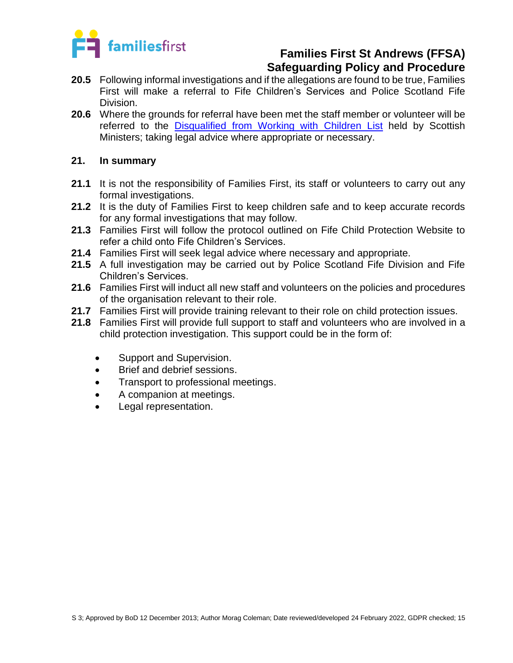

- **20.5** Following informal investigations and if the allegations are found to be true, Families First will make a referral to Fife Children's Services and Police Scotland Fife Division.
- **20.6** Where the grounds for referral have been met the staff member or volunteer will be referred to the [Disqualified from Working with Children](https://www.mygov.scot/pvg-scheme-lists) List held by Scottish Ministers; taking legal advice where appropriate or necessary.

#### **21. In summary**

- **21.1** It is not the responsibility of Families First, its staff or volunteers to carry out any formal investigations.
- **21.2** It is the duty of Families First to keep children safe and to keep accurate records for any formal investigations that may follow.
- **21.3** Families First will follow the protocol outlined on Fife Child Protection Website to refer a child onto Fife Children's Services.
- **21.4** Families First will seek legal advice where necessary and appropriate.
- **21.5** A full investigation may be carried out by Police Scotland Fife Division and Fife Children's Services.
- **21.6** Families First will induct all new staff and volunteers on the policies and procedures of the organisation relevant to their role.
- **21.7** Families First will provide training relevant to their role on child protection issues.
- **21.8** Families First will provide full support to staff and volunteers who are involved in a child protection investigation. This support could be in the form of:
	- Support and Supervision.
	- Brief and debrief sessions.
	- Transport to professional meetings.
	- A companion at meetings.
	- Legal representation.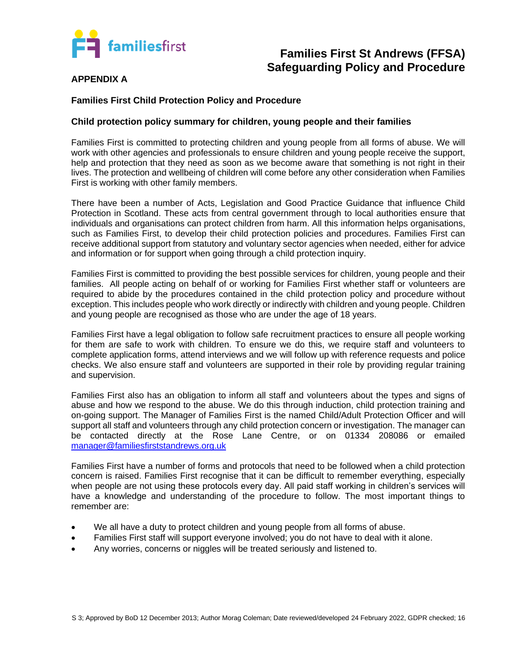

#### **APPENDIX A**

#### **Families First Child Protection Policy and Procedure**

#### **Child protection policy summary for children, young people and their families**

Families First is committed to protecting children and young people from all forms of abuse. We will work with other agencies and professionals to ensure children and young people receive the support, help and protection that they need as soon as we become aware that something is not right in their lives. The protection and wellbeing of children will come before any other consideration when Families First is working with other family members.

There have been a number of Acts, Legislation and Good Practice Guidance that influence Child Protection in Scotland. These acts from central government through to local authorities ensure that individuals and organisations can protect children from harm. All this information helps organisations, such as Families First, to develop their child protection policies and procedures. Families First can receive additional support from statutory and voluntary sector agencies when needed, either for advice and information or for support when going through a child protection inquiry.

Families First is committed to providing the best possible services for children, young people and their families. All people acting on behalf of or working for Families First whether staff or volunteers are required to abide by the procedures contained in the child protection policy and procedure without exception. This includes people who work directly or indirectly with children and young people. Children and young people are recognised as those who are under the age of 18 years.

Families First have a legal obligation to follow safe recruitment practices to ensure all people working for them are safe to work with children. To ensure we do this, we require staff and volunteers to complete application forms, attend interviews and we will follow up with reference requests and police checks. We also ensure staff and volunteers are supported in their role by providing regular training and supervision.

Families First also has an obligation to inform all staff and volunteers about the types and signs of abuse and how we respond to the abuse. We do this through induction, child protection training and on-going support. The Manager of Families First is the named Child/Adult Protection Officer and will support all staff and volunteers through any child protection concern or investigation. The manager can be contacted directly at the Rose Lane Centre, or on 01334 208086 or emailed [manager@familiesfirststandrews.org.uk](mailto:manager@familiesfirststandrews.org.uk)

Families First have a number of forms and protocols that need to be followed when a child protection concern is raised. Families First recognise that it can be difficult to remember everything, especially when people are not using these protocols every day. All paid staff working in children's services will have a knowledge and understanding of the procedure to follow. The most important things to remember are:

- We all have a duty to protect children and young people from all forms of abuse.
- Families First staff will support everyone involved; you do not have to deal with it alone.
- Any worries, concerns or niggles will be treated seriously and listened to.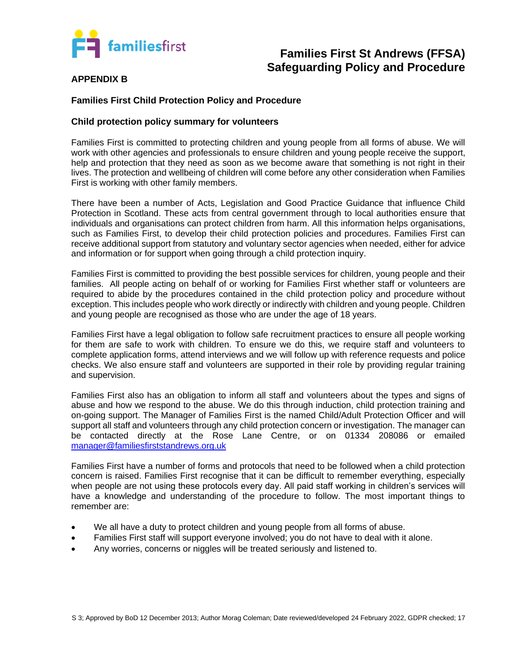

#### **APPENDIX B**

#### **Families First Child Protection Policy and Procedure**

#### **Child protection policy summary for volunteers**

Families First is committed to protecting children and young people from all forms of abuse. We will work with other agencies and professionals to ensure children and young people receive the support, help and protection that they need as soon as we become aware that something is not right in their lives. The protection and wellbeing of children will come before any other consideration when Families First is working with other family members.

There have been a number of Acts, Legislation and Good Practice Guidance that influence Child Protection in Scotland. These acts from central government through to local authorities ensure that individuals and organisations can protect children from harm. All this information helps organisations, such as Families First, to develop their child protection policies and procedures. Families First can receive additional support from statutory and voluntary sector agencies when needed, either for advice and information or for support when going through a child protection inquiry.

Families First is committed to providing the best possible services for children, young people and their families. All people acting on behalf of or working for Families First whether staff or volunteers are required to abide by the procedures contained in the child protection policy and procedure without exception. This includes people who work directly or indirectly with children and young people. Children and young people are recognised as those who are under the age of 18 years.

Families First have a legal obligation to follow safe recruitment practices to ensure all people working for them are safe to work with children. To ensure we do this, we require staff and volunteers to complete application forms, attend interviews and we will follow up with reference requests and police checks. We also ensure staff and volunteers are supported in their role by providing regular training and supervision.

Families First also has an obligation to inform all staff and volunteers about the types and signs of abuse and how we respond to the abuse. We do this through induction, child protection training and on-going support. The Manager of Families First is the named Child/Adult Protection Officer and will support all staff and volunteers through any child protection concern or investigation. The manager can be contacted directly at the Rose Lane Centre, or on 01334 208086 or emailed [manager@familiesfirststandrews.org.uk](mailto:manager@familiesfirststandrews.org.uk)

Families First have a number of forms and protocols that need to be followed when a child protection concern is raised. Families First recognise that it can be difficult to remember everything, especially when people are not using these protocols every day. All paid staff working in children's services will have a knowledge and understanding of the procedure to follow. The most important things to remember are:

- We all have a duty to protect children and young people from all forms of abuse.
- Families First staff will support everyone involved; you do not have to deal with it alone.
- Any worries, concerns or niggles will be treated seriously and listened to.